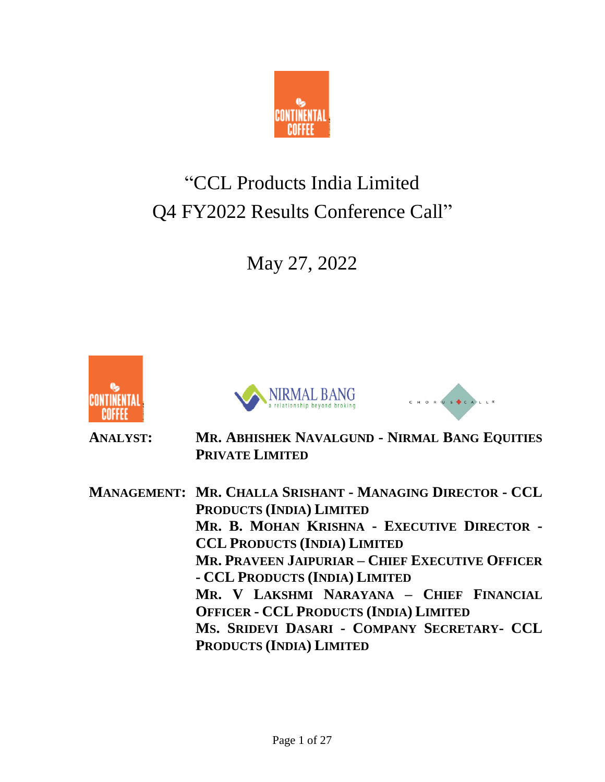

# "CCL Products India Limited Q4 FY2022 Results Conference Call"

May 27, 2022







**ANALYST: MR. ABHISHEK NAVALGUND - NIRMAL BANG EQUITIES PRIVATE LIMITED**

**MANAGEMENT: MR. CHALLA SRISHANT - MANAGING DIRECTOR - CCL PRODUCTS (INDIA) LIMITED MR. B. MOHAN KRISHNA - EXECUTIVE DIRECTOR - CCL PRODUCTS (INDIA) LIMITED MR. PRAVEEN JAIPURIAR – CHIEF EXECUTIVE OFFICER - CCL PRODUCTS (INDIA) LIMITED MR. V LAKSHMI NARAYANA – CHIEF FINANCIAL OFFICER - CCL PRODUCTS (INDIA) LIMITED MS. SRIDEVI DASARI - COMPANY SECRETARY- CCL PRODUCTS (INDIA) LIMITED**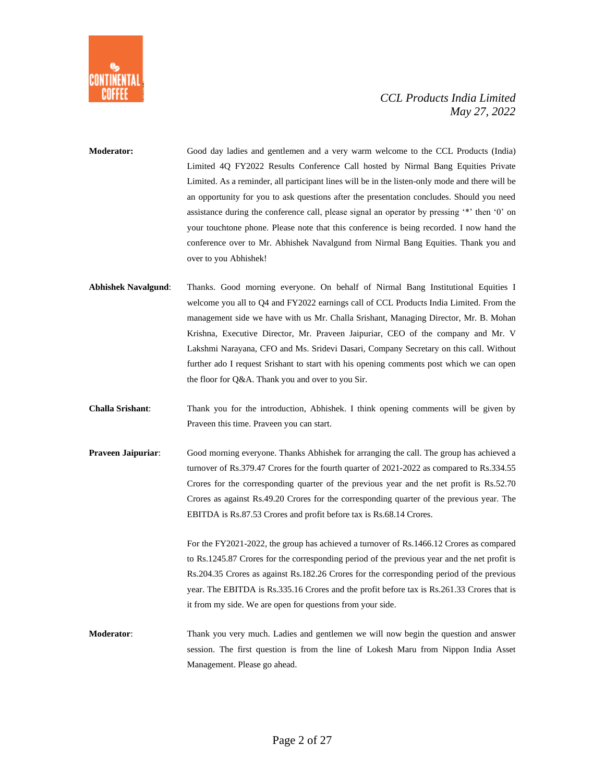

**Moderator:** Good day ladies and gentlemen and a very warm welcome to the CCL Products (India) Limited 4Q FY2022 Results Conference Call hosted by Nirmal Bang Equities Private Limited. As a reminder, all participant lines will be in the listen-only mode and there will be an opportunity for you to ask questions after the presentation concludes. Should you need assistance during the conference call, please signal an operator by pressing '\*' then '0' on your touchtone phone. Please note that this conference is being recorded. I now hand the conference over to Mr. Abhishek Navalgund from Nirmal Bang Equities. Thank you and over to you Abhishek!

- **Abhishek Navalgund**: Thanks. Good morning everyone. On behalf of Nirmal Bang Institutional Equities I welcome you all to Q4 and FY2022 earnings call of CCL Products India Limited. From the management side we have with us Mr. Challa Srishant, Managing Director, Mr. B. Mohan Krishna, Executive Director, Mr. Praveen Jaipuriar, CEO of the company and Mr. V Lakshmi Narayana, CFO and Ms. Sridevi Dasari, Company Secretary on this call. Without further ado I request Srishant to start with his opening comments post which we can open the floor for Q&A. Thank you and over to you Sir.
- **Challa Srishant**: Thank you for the introduction, Abhishek. I think opening comments will be given by Praveen this time. Praveen you can start.
- **Praveen Jaipuriar:** Good morning everyone. Thanks Abhishek for arranging the call. The group has achieved a turnover of Rs.379.47 Crores for the fourth quarter of 2021-2022 as compared to Rs.334.55 Crores for the corresponding quarter of the previous year and the net profit is Rs.52.70 Crores as against Rs.49.20 Crores for the corresponding quarter of the previous year. The EBITDA is Rs.87.53 Crores and profit before tax is Rs.68.14 Crores.

For the FY2021-2022, the group has achieved a turnover of Rs.1466.12 Crores as compared to Rs.1245.87 Crores for the corresponding period of the previous year and the net profit is Rs.204.35 Crores as against Rs.182.26 Crores for the corresponding period of the previous year. The EBITDA is Rs.335.16 Crores and the profit before tax is Rs.261.33 Crores that is it from my side. We are open for questions from your side.

**Moderator**: Thank you very much. Ladies and gentlemen we will now begin the question and answer session. The first question is from the line of Lokesh Maru from Nippon India Asset Management. Please go ahead.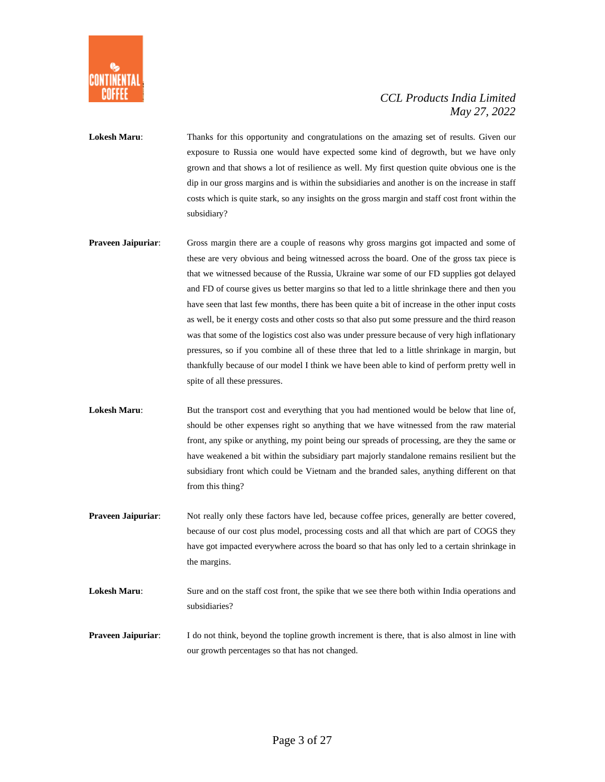

- **Lokesh Maru**: Thanks for this opportunity and congratulations on the amazing set of results. Given our exposure to Russia one would have expected some kind of degrowth, but we have only grown and that shows a lot of resilience as well. My first question quite obvious one is the dip in our gross margins and is within the subsidiaries and another is on the increase in staff costs which is quite stark, so any insights on the gross margin and staff cost front within the subsidiary?
- **Praveen Jaipuriar**: Gross margin there are a couple of reasons why gross margins got impacted and some of these are very obvious and being witnessed across the board. One of the gross tax piece is that we witnessed because of the Russia, Ukraine war some of our FD supplies got delayed and FD of course gives us better margins so that led to a little shrinkage there and then you have seen that last few months, there has been quite a bit of increase in the other input costs as well, be it energy costs and other costs so that also put some pressure and the third reason was that some of the logistics cost also was under pressure because of very high inflationary pressures, so if you combine all of these three that led to a little shrinkage in margin, but thankfully because of our model I think we have been able to kind of perform pretty well in spite of all these pressures.
- Lokesh Maru: But the transport cost and everything that you had mentioned would be below that line of, should be other expenses right so anything that we have witnessed from the raw material front, any spike or anything, my point being our spreads of processing, are they the same or have weakened a bit within the subsidiary part majorly standalone remains resilient but the subsidiary front which could be Vietnam and the branded sales, anything different on that from this thing?
- **Praveen Jaipuriar**: Not really only these factors have led, because coffee prices, generally are better covered, because of our cost plus model, processing costs and all that which are part of COGS they have got impacted everywhere across the board so that has only led to a certain shrinkage in the margins.
- Lokesh Maru: Sure and on the staff cost front, the spike that we see there both within India operations and subsidiaries?
- **Praveen Jaipuriar:** I do not think, beyond the topline growth increment is there, that is also almost in line with our growth percentages so that has not changed.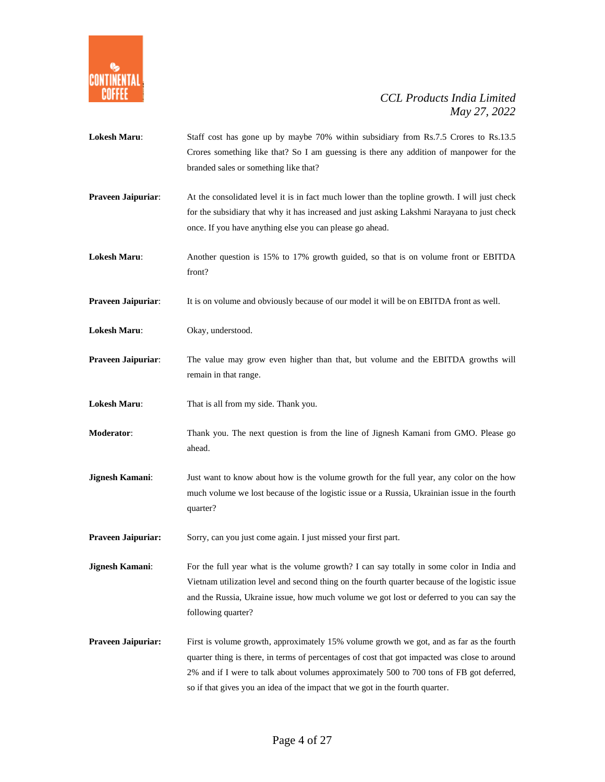

- Lokesh Maru: Staff cost has gone up by maybe 70% within subsidiary from Rs.7.5 Crores to Rs.13.5 Crores something like that? So I am guessing is there any addition of manpower for the branded sales or something like that?
- **Praveen Jaipuriar:** At the consolidated level it is in fact much lower than the topline growth. I will just check for the subsidiary that why it has increased and just asking Lakshmi Narayana to just check once. If you have anything else you can please go ahead.
- **Lokesh Maru**: Another question is 15% to 17% growth guided, so that is on volume front or EBITDA front?

**Praveen Jaipuriar:** It is on volume and obviously because of our model it will be on EBITDA front as well.

- **Lokesh Maru**: Okay, understood.
- **Praveen Jaipuriar:** The value may grow even higher than that, but volume and the EBITDA growths will remain in that range.

**Lokesh Maru**: That is all from my side. Thank you.

- **Moderator**: Thank you. The next question is from the line of Jignesh Kamani from GMO. Please go ahead.
- **Jignesh Kamani:** Just want to know about how is the volume growth for the full year, any color on the how much volume we lost because of the logistic issue or a Russia, Ukrainian issue in the fourth quarter?

Praveen Jaipuriar: Sorry, can you just come again. I just missed your first part.

**Jignesh Kamani:** For the full year what is the volume growth? I can say totally in some color in India and Vietnam utilization level and second thing on the fourth quarter because of the logistic issue and the Russia, Ukraine issue, how much volume we got lost or deferred to you can say the following quarter?

**Praveen Jaipuriar:** First is volume growth, approximately 15% volume growth we got, and as far as the fourth quarter thing is there, in terms of percentages of cost that got impacted was close to around 2% and if I were to talk about volumes approximately 500 to 700 tons of FB got deferred, so if that gives you an idea of the impact that we got in the fourth quarter.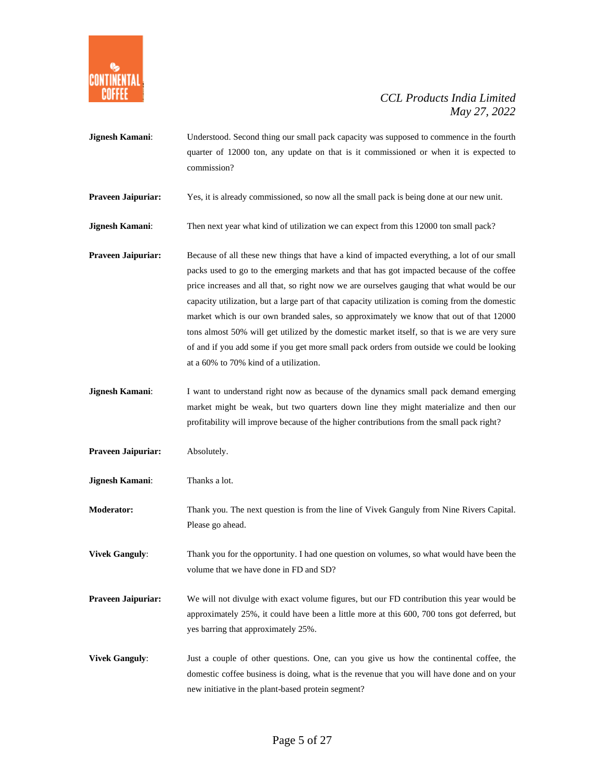

- **Jignesh Kamani:** Understood. Second thing our small pack capacity was supposed to commence in the fourth quarter of 12000 ton, any update on that is it commissioned or when it is expected to commission?
- **Praveen Jaipuriar:** Yes, it is already commissioned, so now all the small pack is being done at our new unit.
- **Jignesh Kamani:** Then next year what kind of utilization we can expect from this 12000 ton small pack?
- **Praveen Jaipuriar:** Because of all these new things that have a kind of impacted everything, a lot of our small packs used to go to the emerging markets and that has got impacted because of the coffee price increases and all that, so right now we are ourselves gauging that what would be our capacity utilization, but a large part of that capacity utilization is coming from the domestic market which is our own branded sales, so approximately we know that out of that 12000 tons almost 50% will get utilized by the domestic market itself, so that is we are very sure of and if you add some if you get more small pack orders from outside we could be looking at a 60% to 70% kind of a utilization.
- **Jignesh Kamani:** I want to understand right now as because of the dynamics small pack demand emerging market might be weak, but two quarters down line they might materialize and then our profitability will improve because of the higher contributions from the small pack right?
- **Praveen Jaipuriar:** Absolutely.
- **Jignesh Kamani**: Thanks a lot.

**Moderator:** Thank you. The next question is from the line of Vivek Ganguly from Nine Rivers Capital. Please go ahead.

**Vivek Ganguly:** Thank you for the opportunity. I had one question on volumes, so what would have been the volume that we have done in FD and SD?

- **Praveen Jaipuriar:** We will not divulge with exact volume figures, but our FD contribution this year would be approximately 25%, it could have been a little more at this 600, 700 tons got deferred, but yes barring that approximately 25%.
- **Vivek Ganguly:** Just a couple of other questions. One, can you give us how the continental coffee, the domestic coffee business is doing, what is the revenue that you will have done and on your new initiative in the plant-based protein segment?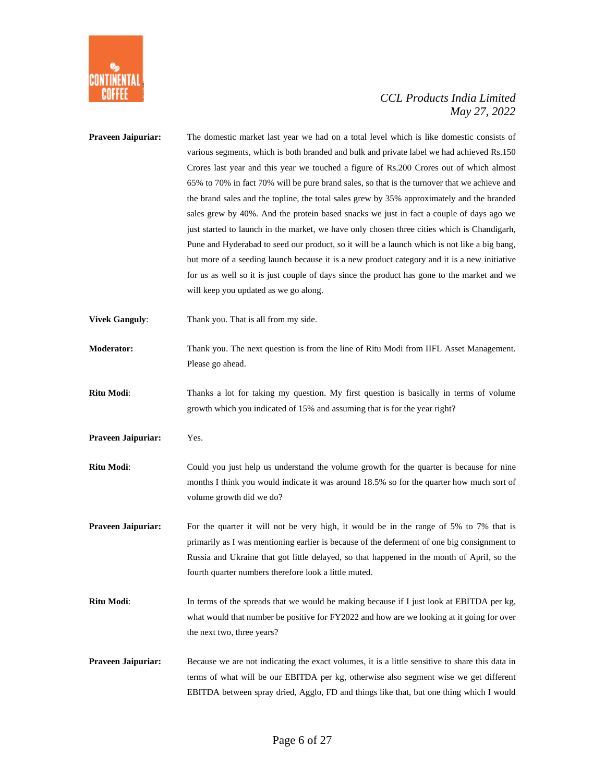

| Praveen Jaipuriar:    | The domestic market last year we had on a total level which is like domestic consists of<br>various segments, which is both branded and bulk and private label we had achieved Rs.150<br>Crores last year and this year we touched a figure of Rs.200 Crores out of which almost<br>65% to 70% in fact 70% will be pure brand sales, so that is the turnover that we achieve and<br>the brand sales and the topline, the total sales grew by 35% approximately and the branded<br>sales grew by 40%. And the protein based snacks we just in fact a couple of days ago we<br>just started to launch in the market, we have only chosen three cities which is Chandigarh,<br>Pune and Hyderabad to seed our product, so it will be a launch which is not like a big bang,<br>but more of a seeding launch because it is a new product category and it is a new initiative<br>for us as well so it is just couple of days since the product has gone to the market and we<br>will keep you updated as we go along. |
|-----------------------|------------------------------------------------------------------------------------------------------------------------------------------------------------------------------------------------------------------------------------------------------------------------------------------------------------------------------------------------------------------------------------------------------------------------------------------------------------------------------------------------------------------------------------------------------------------------------------------------------------------------------------------------------------------------------------------------------------------------------------------------------------------------------------------------------------------------------------------------------------------------------------------------------------------------------------------------------------------------------------------------------------------|
| <b>Vivek Ganguly:</b> | Thank you. That is all from my side.                                                                                                                                                                                                                                                                                                                                                                                                                                                                                                                                                                                                                                                                                                                                                                                                                                                                                                                                                                             |
| Moderator:            | Thank you. The next question is from the line of Ritu Modi from IIFL Asset Management.<br>Please go ahead.                                                                                                                                                                                                                                                                                                                                                                                                                                                                                                                                                                                                                                                                                                                                                                                                                                                                                                       |
| Ritu Modi:            | Thanks a lot for taking my question. My first question is basically in terms of volume<br>growth which you indicated of 15% and assuming that is for the year right?                                                                                                                                                                                                                                                                                                                                                                                                                                                                                                                                                                                                                                                                                                                                                                                                                                             |
| Praveen Jaipuriar:    | Yes.                                                                                                                                                                                                                                                                                                                                                                                                                                                                                                                                                                                                                                                                                                                                                                                                                                                                                                                                                                                                             |
| Ritu Modi:            | Could you just help us understand the volume growth for the quarter is because for nine<br>months I think you would indicate it was around 18.5% so for the quarter how much sort of<br>volume growth did we do?                                                                                                                                                                                                                                                                                                                                                                                                                                                                                                                                                                                                                                                                                                                                                                                                 |
| Praveen Jaipuriar:    | For the quarter it will not be very high, it would be in the range of 5% to 7% that is<br>primarily as I was mentioning earlier is because of the deferment of one big consignment to<br>Russia and Ukraine that got little delayed, so that happened in the month of April, so the<br>fourth quarter numbers therefore look a little muted.                                                                                                                                                                                                                                                                                                                                                                                                                                                                                                                                                                                                                                                                     |
| Ritu Modi:            | In terms of the spreads that we would be making because if I just look at EBITDA per kg,<br>what would that number be positive for FY2022 and how are we looking at it going for over<br>the next two, three years?                                                                                                                                                                                                                                                                                                                                                                                                                                                                                                                                                                                                                                                                                                                                                                                              |
| Praveen Jaipuriar:    | Because we are not indicating the exact volumes, it is a little sensitive to share this data in<br>terms of what will be our EBITDA per kg, otherwise also segment wise we get different<br>EBITDA between spray dried, Agglo, FD and things like that, but one thing which I would                                                                                                                                                                                                                                                                                                                                                                                                                                                                                                                                                                                                                                                                                                                              |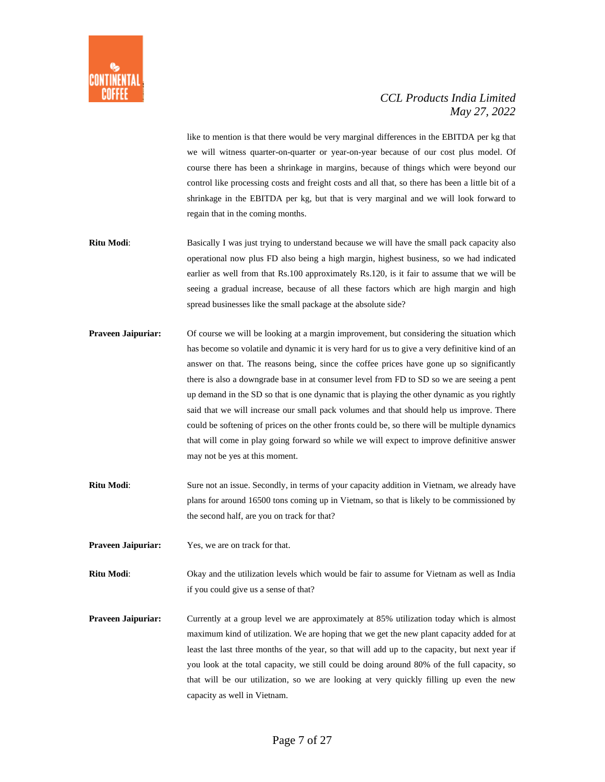

like to mention is that there would be very marginal differences in the EBITDA per kg that we will witness quarter-on-quarter or year-on-year because of our cost plus model. Of course there has been a shrinkage in margins, because of things which were beyond our control like processing costs and freight costs and all that, so there has been a little bit of a shrinkage in the EBITDA per kg, but that is very marginal and we will look forward to regain that in the coming months.

- **Ritu Modi**: Basically I was just trying to understand because we will have the small pack capacity also operational now plus FD also being a high margin, highest business, so we had indicated earlier as well from that Rs.100 approximately Rs.120, is it fair to assume that we will be seeing a gradual increase, because of all these factors which are high margin and high spread businesses like the small package at the absolute side?
- **Praveen Jaipuriar:** Of course we will be looking at a margin improvement, but considering the situation which has become so volatile and dynamic it is very hard for us to give a very definitive kind of an answer on that. The reasons being, since the coffee prices have gone up so significantly there is also a downgrade base in at consumer level from FD to SD so we are seeing a pent up demand in the SD so that is one dynamic that is playing the other dynamic as you rightly said that we will increase our small pack volumes and that should help us improve. There could be softening of prices on the other fronts could be, so there will be multiple dynamics that will come in play going forward so while we will expect to improve definitive answer may not be yes at this moment.
- **Ritu Modi**: Sure not an issue. Secondly, in terms of your capacity addition in Vietnam, we already have plans for around 16500 tons coming up in Vietnam, so that is likely to be commissioned by the second half, are you on track for that?
- **Praveen Jaipuriar:** Yes, we are on track for that.

**Ritu Modi**: Okay and the utilization levels which would be fair to assume for Vietnam as well as India if you could give us a sense of that?

**Praveen Jaipuriar:** Currently at a group level we are approximately at 85% utilization today which is almost maximum kind of utilization. We are hoping that we get the new plant capacity added for at least the last three months of the year, so that will add up to the capacity, but next year if you look at the total capacity, we still could be doing around 80% of the full capacity, so that will be our utilization, so we are looking at very quickly filling up even the new capacity as well in Vietnam.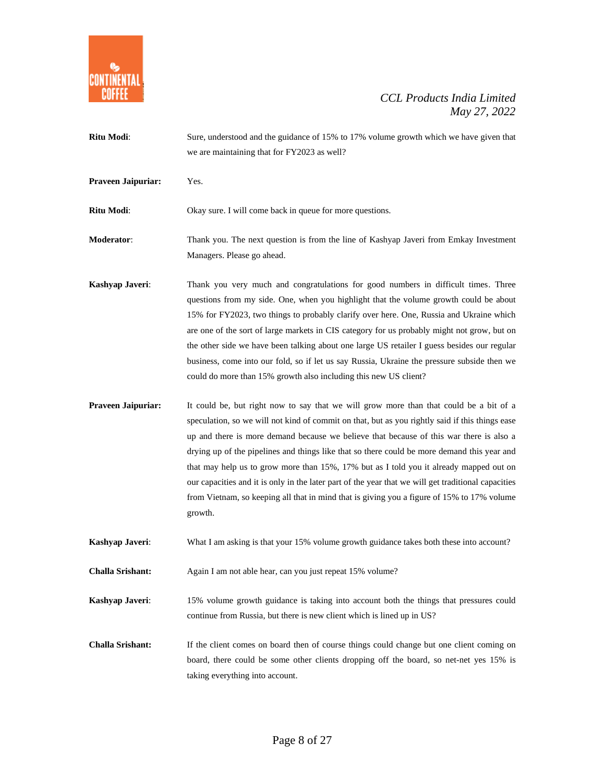

**Ritu Modi**: Sure, understood and the guidance of 15% to 17% volume growth which we have given that we are maintaining that for FY2023 as well? **Praveen Jaipuriar:** Yes. **Ritu Modi**: Okay sure. I will come back in queue for more questions. **Moderator**: Thank you. The next question is from the line of Kashyap Javeri from Emkay Investment Managers. Please go ahead. **Kashyap Javeri:** Thank you very much and congratulations for good numbers in difficult times. Three questions from my side. One, when you highlight that the volume growth could be about 15% for FY2023, two things to probably clarify over here. One, Russia and Ukraine which are one of the sort of large markets in CIS category for us probably might not grow, but on the other side we have been talking about one large US retailer I guess besides our regular business, come into our fold, so if let us say Russia, Ukraine the pressure subside then we could do more than 15% growth also including this new US client? **Praveen Jaipuriar:** It could be, but right now to say that we will grow more than that could be a bit of a speculation, so we will not kind of commit on that, but as you rightly said if this things ease up and there is more demand because we believe that because of this war there is also a drying up of the pipelines and things like that so there could be more demand this year and that may help us to grow more than 15%, 17% but as I told you it already mapped out on our capacities and it is only in the later part of the year that we will get traditional capacities from Vietnam, so keeping all that in mind that is giving you a figure of 15% to 17% volume growth. **Kashyap Javeri:** What I am asking is that your 15% volume growth guidance takes both these into account? **Challa Srishant:** Again I am not able hear, can you just repeat 15% volume? **Kashyap Javeri:** 15% volume growth guidance is taking into account both the things that pressures could

**Challa Srishant:** If the client comes on board then of course things could change but one client coming on board, there could be some other clients dropping off the board, so net-net yes 15% is taking everything into account.

continue from Russia, but there is new client which is lined up in US?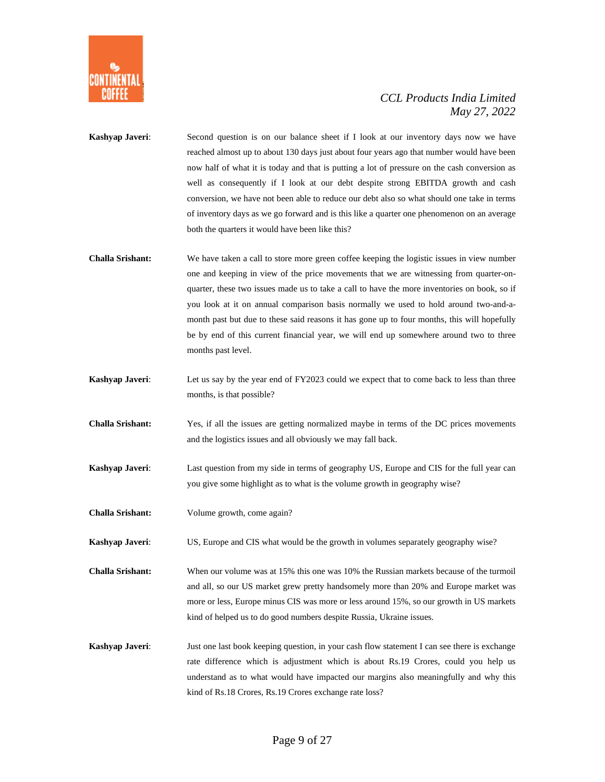

- **Kashyap Javeri:** Second question is on our balance sheet if I look at our inventory days now we have reached almost up to about 130 days just about four years ago that number would have been now half of what it is today and that is putting a lot of pressure on the cash conversion as well as consequently if I look at our debt despite strong EBITDA growth and cash conversion, we have not been able to reduce our debt also so what should one take in terms of inventory days as we go forward and is this like a quarter one phenomenon on an average both the quarters it would have been like this?
- **Challa Srishant:** We have taken a call to store more green coffee keeping the logistic issues in view number one and keeping in view of the price movements that we are witnessing from quarter-onquarter, these two issues made us to take a call to have the more inventories on book, so if you look at it on annual comparison basis normally we used to hold around two-and-amonth past but due to these said reasons it has gone up to four months, this will hopefully be by end of this current financial year, we will end up somewhere around two to three months past level.
- **Kashyap Javeri:** Let us say by the year end of FY2023 could we expect that to come back to less than three months, is that possible?
- **Challa Srishant:** Yes, if all the issues are getting normalized maybe in terms of the DC prices movements and the logistics issues and all obviously we may fall back.
- **Kashyap Javeri**: Last question from my side in terms of geography US, Europe and CIS for the full year can you give some highlight as to what is the volume growth in geography wise?
- **Challa Srishant:** Volume growth, come again?

**Kashyap Javeri**: US, Europe and CIS what would be the growth in volumes separately geography wise?

**Challa Srishant:** When our volume was at 15% this one was 10% the Russian markets because of the turmoil and all, so our US market grew pretty handsomely more than 20% and Europe market was more or less, Europe minus CIS was more or less around 15%, so our growth in US markets kind of helped us to do good numbers despite Russia, Ukraine issues.

**Kashyap Javeri:** Just one last book keeping question, in your cash flow statement I can see there is exchange rate difference which is adjustment which is about Rs.19 Crores, could you help us understand as to what would have impacted our margins also meaningfully and why this kind of Rs.18 Crores, Rs.19 Crores exchange rate loss?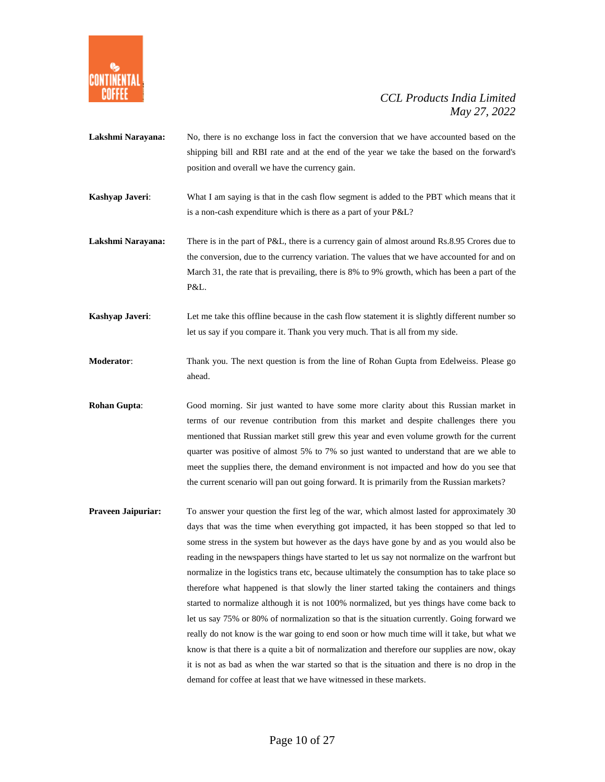

**Lakshmi Narayana:** No, there is no exchange loss in fact the conversion that we have accounted based on the shipping bill and RBI rate and at the end of the year we take the based on the forward's position and overall we have the currency gain.

**Kashyap Javeri:** What I am saying is that in the cash flow segment is added to the PBT which means that it is a non-cash expenditure which is there as a part of your P&L?

**Lakshmi Narayana:** There is in the part of P&L, there is a currency gain of almost around Rs.8.95 Crores due to the conversion, due to the currency variation. The values that we have accounted for and on March 31, the rate that is prevailing, there is 8% to 9% growth, which has been a part of the P&L.

**Kashyap Javeri:** Let me take this offline because in the cash flow statement it is slightly different number so let us say if you compare it. Thank you very much. That is all from my side.

**Moderator**: Thank you. The next question is from the line of Rohan Gupta from Edelweiss. Please go ahead.

**Rohan Gupta**: Good morning. Sir just wanted to have some more clarity about this Russian market in terms of our revenue contribution from this market and despite challenges there you mentioned that Russian market still grew this year and even volume growth for the current quarter was positive of almost 5% to 7% so just wanted to understand that are we able to meet the supplies there, the demand environment is not impacted and how do you see that the current scenario will pan out going forward. It is primarily from the Russian markets?

**Praveen Jaipuriar:** To answer your question the first leg of the war, which almost lasted for approximately 30 days that was the time when everything got impacted, it has been stopped so that led to some stress in the system but however as the days have gone by and as you would also be reading in the newspapers things have started to let us say not normalize on the warfront but normalize in the logistics trans etc, because ultimately the consumption has to take place so therefore what happened is that slowly the liner started taking the containers and things started to normalize although it is not 100% normalized, but yes things have come back to let us say 75% or 80% of normalization so that is the situation currently. Going forward we really do not know is the war going to end soon or how much time will it take, but what we know is that there is a quite a bit of normalization and therefore our supplies are now, okay it is not as bad as when the war started so that is the situation and there is no drop in the demand for coffee at least that we have witnessed in these markets.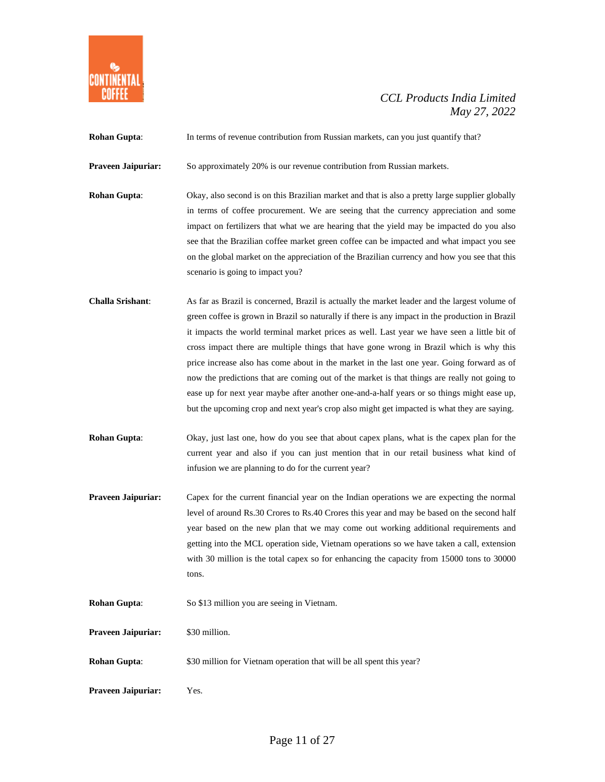

| <b>Rohan Gupta:</b>       | In terms of revenue contribution from Russian markets, can you just quantify that?                                                                                                                                                                                                                                                                                                                                                                                                                                                                                                                                                                                                                                                                                                    |
|---------------------------|---------------------------------------------------------------------------------------------------------------------------------------------------------------------------------------------------------------------------------------------------------------------------------------------------------------------------------------------------------------------------------------------------------------------------------------------------------------------------------------------------------------------------------------------------------------------------------------------------------------------------------------------------------------------------------------------------------------------------------------------------------------------------------------|
| Praveen Jaipuriar:        | So approximately 20% is our revenue contribution from Russian markets.                                                                                                                                                                                                                                                                                                                                                                                                                                                                                                                                                                                                                                                                                                                |
| <b>Rohan Gupta:</b>       | Okay, also second is on this Brazilian market and that is also a pretty large supplier globally<br>in terms of coffee procurement. We are seeing that the currency appreciation and some<br>impact on fertilizers that what we are hearing that the yield may be impacted do you also<br>see that the Brazilian coffee market green coffee can be impacted and what impact you see<br>on the global market on the appreciation of the Brazilian currency and how you see that this<br>scenario is going to impact you?                                                                                                                                                                                                                                                                |
| <b>Challa Srishant:</b>   | As far as Brazil is concerned, Brazil is actually the market leader and the largest volume of<br>green coffee is grown in Brazil so naturally if there is any impact in the production in Brazil<br>it impacts the world terminal market prices as well. Last year we have seen a little bit of<br>cross impact there are multiple things that have gone wrong in Brazil which is why this<br>price increase also has come about in the market in the last one year. Going forward as of<br>now the predictions that are coming out of the market is that things are really not going to<br>ease up for next year maybe after another one-and-a-half years or so things might ease up,<br>but the upcoming crop and next year's crop also might get impacted is what they are saying. |
| Rohan Gupta:              | Okay, just last one, how do you see that about capex plans, what is the capex plan for the<br>current year and also if you can just mention that in our retail business what kind of<br>infusion we are planning to do for the current year?                                                                                                                                                                                                                                                                                                                                                                                                                                                                                                                                          |
| Praveen Jaipuriar:        | Capex for the current financial year on the Indian operations we are expecting the normal<br>level of around Rs.30 Crores to Rs.40 Crores this year and may be based on the second half<br>year based on the new plan that we may come out working additional requirements and<br>getting into the MCL operation side, Vietnam operations so we have taken a call, extension<br>with 30 million is the total capex so for enhancing the capacity from 15000 tons to 30000<br>tons.                                                                                                                                                                                                                                                                                                    |
| Rohan Gupta:              | So \$13 million you are seeing in Vietnam.                                                                                                                                                                                                                                                                                                                                                                                                                                                                                                                                                                                                                                                                                                                                            |
| <b>Praveen Jaipuriar:</b> | \$30 million.                                                                                                                                                                                                                                                                                                                                                                                                                                                                                                                                                                                                                                                                                                                                                                         |
| <b>Rohan Gupta:</b>       | \$30 million for Vietnam operation that will be all spent this year?                                                                                                                                                                                                                                                                                                                                                                                                                                                                                                                                                                                                                                                                                                                  |
| Praveen Jaipuriar:        | Yes.                                                                                                                                                                                                                                                                                                                                                                                                                                                                                                                                                                                                                                                                                                                                                                                  |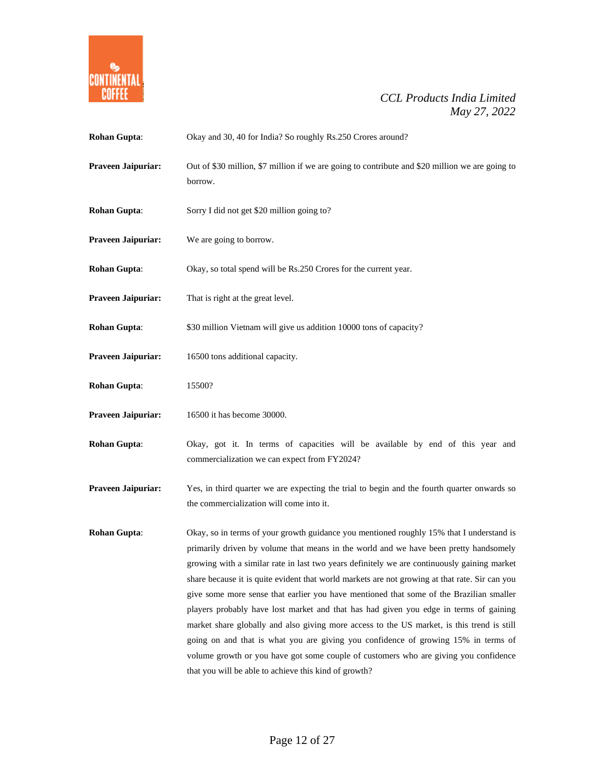

| <b>Rohan Gupta:</b> | Okay and 30, 40 for India? So roughly Rs.250 Crores around?                                                                                                                                                                                                                                                                                                                                                                                                                                                                                                                                                                                                                                                                                                                                                                                                                                                 |
|---------------------|-------------------------------------------------------------------------------------------------------------------------------------------------------------------------------------------------------------------------------------------------------------------------------------------------------------------------------------------------------------------------------------------------------------------------------------------------------------------------------------------------------------------------------------------------------------------------------------------------------------------------------------------------------------------------------------------------------------------------------------------------------------------------------------------------------------------------------------------------------------------------------------------------------------|
| Praveen Jaipuriar:  | Out of \$30 million, \$7 million if we are going to contribute and \$20 million we are going to<br>borrow.                                                                                                                                                                                                                                                                                                                                                                                                                                                                                                                                                                                                                                                                                                                                                                                                  |
| <b>Rohan Gupta:</b> | Sorry I did not get \$20 million going to?                                                                                                                                                                                                                                                                                                                                                                                                                                                                                                                                                                                                                                                                                                                                                                                                                                                                  |
| Praveen Jaipuriar:  | We are going to borrow.                                                                                                                                                                                                                                                                                                                                                                                                                                                                                                                                                                                                                                                                                                                                                                                                                                                                                     |
| Rohan Gupta:        | Okay, so total spend will be Rs.250 Crores for the current year.                                                                                                                                                                                                                                                                                                                                                                                                                                                                                                                                                                                                                                                                                                                                                                                                                                            |
| Praveen Jaipuriar:  | That is right at the great level.                                                                                                                                                                                                                                                                                                                                                                                                                                                                                                                                                                                                                                                                                                                                                                                                                                                                           |
| <b>Rohan Gupta:</b> | \$30 million Vietnam will give us addition 10000 tons of capacity?                                                                                                                                                                                                                                                                                                                                                                                                                                                                                                                                                                                                                                                                                                                                                                                                                                          |
| Praveen Jaipuriar:  | 16500 tons additional capacity.                                                                                                                                                                                                                                                                                                                                                                                                                                                                                                                                                                                                                                                                                                                                                                                                                                                                             |
| <b>Rohan Gupta:</b> | 15500?                                                                                                                                                                                                                                                                                                                                                                                                                                                                                                                                                                                                                                                                                                                                                                                                                                                                                                      |
| Praveen Jaipuriar:  | 16500 it has become 30000.                                                                                                                                                                                                                                                                                                                                                                                                                                                                                                                                                                                                                                                                                                                                                                                                                                                                                  |
| <b>Rohan Gupta:</b> | Okay, got it. In terms of capacities will be available by end of this year and<br>commercialization we can expect from FY2024?                                                                                                                                                                                                                                                                                                                                                                                                                                                                                                                                                                                                                                                                                                                                                                              |
| Praveen Jaipuriar:  | Yes, in third quarter we are expecting the trial to begin and the fourth quarter onwards so<br>the commercialization will come into it.                                                                                                                                                                                                                                                                                                                                                                                                                                                                                                                                                                                                                                                                                                                                                                     |
| <b>Rohan Gupta:</b> | Okay, so in terms of your growth guidance you mentioned roughly 15% that I understand is<br>primarily driven by volume that means in the world and we have been pretty handsomely<br>growing with a similar rate in last two years definitely we are continuously gaining market<br>share because it is quite evident that world markets are not growing at that rate. Sir can you<br>give some more sense that earlier you have mentioned that some of the Brazilian smaller<br>players probably have lost market and that has had given you edge in terms of gaining<br>market share globally and also giving more access to the US market, is this trend is still<br>going on and that is what you are giving you confidence of growing 15% in terms of<br>volume growth or you have got some couple of customers who are giving you confidence<br>that you will be able to achieve this kind of growth? |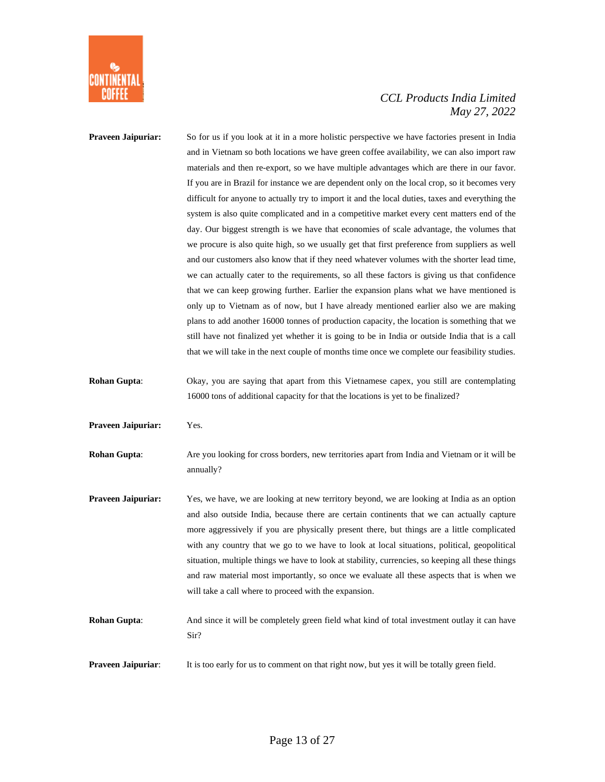

| Praveen Jaipuriar:        | So for us if you look at it in a more holistic perspective we have factories present in India<br>and in Vietnam so both locations we have green coffee availability, we can also import raw |
|---------------------------|---------------------------------------------------------------------------------------------------------------------------------------------------------------------------------------------|
|                           | materials and then re-export, so we have multiple advantages which are there in our favor.                                                                                                  |
|                           | If you are in Brazil for instance we are dependent only on the local crop, so it becomes very                                                                                               |
|                           | difficult for anyone to actually try to import it and the local duties, taxes and everything the                                                                                            |
|                           | system is also quite complicated and in a competitive market every cent matters end of the                                                                                                  |
|                           | day. Our biggest strength is we have that economies of scale advantage, the volumes that                                                                                                    |
|                           | we procure is also quite high, so we usually get that first preference from suppliers as well                                                                                               |
|                           | and our customers also know that if they need whatever volumes with the shorter lead time,                                                                                                  |
|                           | we can actually cater to the requirements, so all these factors is giving us that confidence                                                                                                |
|                           | that we can keep growing further. Earlier the expansion plans what we have mentioned is                                                                                                     |
|                           | only up to Vietnam as of now, but I have already mentioned earlier also we are making                                                                                                       |
|                           | plans to add another 16000 tonnes of production capacity, the location is something that we                                                                                                 |
|                           | still have not finalized yet whether it is going to be in India or outside India that is a call                                                                                             |
|                           | that we will take in the next couple of months time once we complete our feasibility studies.                                                                                               |
| <b>Rohan Gupta:</b>       | Okay, you are saying that apart from this Vietnamese capex, you still are contemplating                                                                                                     |
|                           | 16000 tons of additional capacity for that the locations is yet to be finalized?                                                                                                            |
| <b>Praveen Jaipuriar:</b> | Yes.                                                                                                                                                                                        |
| <b>Rohan Gupta:</b>       | Are you looking for cross borders, new territories apart from India and Vietnam or it will be<br>annually?                                                                                  |
| <b>Praveen Jaipuriar:</b> | Yes, we have, we are looking at new territory beyond, we are looking at India as an option                                                                                                  |
|                           | and also outside India, because there are certain continents that we can actually capture                                                                                                   |
|                           | more aggressively if you are physically present there, but things are a little complicated                                                                                                  |
|                           | with any country that we go to we have to look at local situations, political, geopolitical                                                                                                 |
|                           | situation, multiple things we have to look at stability, currencies, so keeping all these things                                                                                            |
|                           | and raw material most importantly, so once we evaluate all these aspects that is when we                                                                                                    |
|                           | will take a call where to proceed with the expansion.                                                                                                                                       |
| <b>Rohan Gupta:</b>       | And since it will be completely green field what kind of total investment outlay it can have<br>Sir?                                                                                        |

**Praveen Jaipuriar:** It is too early for us to comment on that right now, but yes it will be totally green field.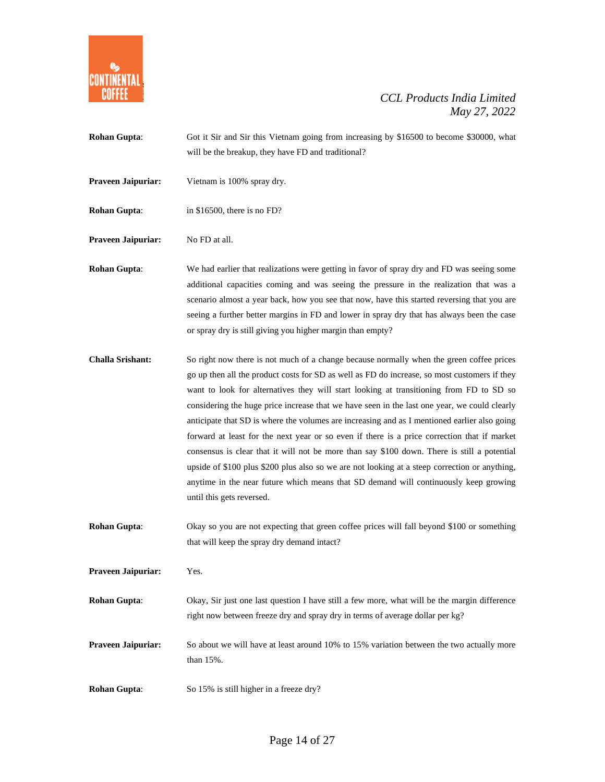

**Rohan Gupta:** Got it Sir and Sir this Vietnam going from increasing by \$16500 to become \$30000, what will be the breakup, they have FD and traditional? **Praveen Jaipuriar:** Vietnam is 100% spray dry. **Rohan Gupta:** in \$16500, there is no FD? **Praveen Jaipuriar:** No FD at all.

**Rohan Gupta:** We had earlier that realizations were getting in favor of spray dry and FD was seeing some additional capacities coming and was seeing the pressure in the realization that was a scenario almost a year back, how you see that now, have this started reversing that you are seeing a further better margins in FD and lower in spray dry that has always been the case or spray dry is still giving you higher margin than empty?

- **Challa Srishant:** So right now there is not much of a change because normally when the green coffee prices go up then all the product costs for SD as well as FD do increase, so most customers if they want to look for alternatives they will start looking at transitioning from FD to SD so considering the huge price increase that we have seen in the last one year, we could clearly anticipate that SD is where the volumes are increasing and as I mentioned earlier also going forward at least for the next year or so even if there is a price correction that if market consensus is clear that it will not be more than say \$100 down. There is still a potential upside of \$100 plus \$200 plus also so we are not looking at a steep correction or anything, anytime in the near future which means that SD demand will continuously keep growing until this gets reversed.
- **Rohan Gupta:** Okay so you are not expecting that green coffee prices will fall beyond \$100 or something that will keep the spray dry demand intact?

**Praveen Jaipuriar:** Yes. **Rohan Gupta:** Okay, Sir just one last question I have still a few more, what will be the margin difference right now between freeze dry and spray dry in terms of average dollar per kg? **Praveen Jaipuriar:** So about we will have at least around 10% to 15% variation between the two actually more than 15%.

**Rohan Gupta:** So 15% is still higher in a freeze dry?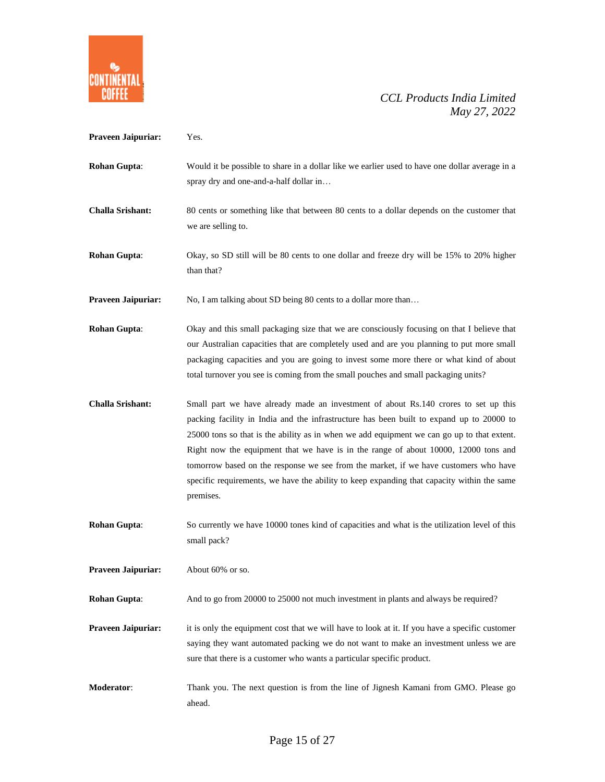

| Praveen Jaipuriar:        | Yes.                                                                                                                                                                                                                                                                                                                                                                                                                                                                                                                                                                    |
|---------------------------|-------------------------------------------------------------------------------------------------------------------------------------------------------------------------------------------------------------------------------------------------------------------------------------------------------------------------------------------------------------------------------------------------------------------------------------------------------------------------------------------------------------------------------------------------------------------------|
| <b>Rohan Gupta:</b>       | Would it be possible to share in a dollar like we earlier used to have one dollar average in a<br>spray dry and one-and-a-half dollar in                                                                                                                                                                                                                                                                                                                                                                                                                                |
| <b>Challa Srishant:</b>   | 80 cents or something like that between 80 cents to a dollar depends on the customer that<br>we are selling to.                                                                                                                                                                                                                                                                                                                                                                                                                                                         |
| <b>Rohan Gupta:</b>       | Okay, so SD still will be 80 cents to one dollar and freeze dry will be 15% to 20% higher<br>than that?                                                                                                                                                                                                                                                                                                                                                                                                                                                                 |
| <b>Praveen Jaipuriar:</b> | No, I am talking about SD being 80 cents to a dollar more than                                                                                                                                                                                                                                                                                                                                                                                                                                                                                                          |
| <b>Rohan Gupta:</b>       | Okay and this small packaging size that we are consciously focusing on that I believe that<br>our Australian capacities that are completely used and are you planning to put more small<br>packaging capacities and you are going to invest some more there or what kind of about<br>total turnover you see is coming from the small pouches and small packaging units?                                                                                                                                                                                                 |
| <b>Challa Srishant:</b>   | Small part we have already made an investment of about Rs.140 crores to set up this<br>packing facility in India and the infrastructure has been built to expand up to 20000 to<br>25000 tons so that is the ability as in when we add equipment we can go up to that extent.<br>Right now the equipment that we have is in the range of about 10000, 12000 tons and<br>tomorrow based on the response we see from the market, if we have customers who have<br>specific requirements, we have the ability to keep expanding that capacity within the same<br>premises. |
| <b>Rohan Gupta:</b>       | So currently we have 10000 tones kind of capacities and what is the utilization level of this<br>small pack?                                                                                                                                                                                                                                                                                                                                                                                                                                                            |
| <b>Praveen Jaipuriar:</b> | About 60% or so.                                                                                                                                                                                                                                                                                                                                                                                                                                                                                                                                                        |
| <b>Rohan Gupta:</b>       | And to go from 20000 to 25000 not much investment in plants and always be required?                                                                                                                                                                                                                                                                                                                                                                                                                                                                                     |
| Praveen Jaipuriar:        | it is only the equipment cost that we will have to look at it. If you have a specific customer<br>saying they want automated packing we do not want to make an investment unless we are<br>sure that there is a customer who wants a particular specific product.                                                                                                                                                                                                                                                                                                       |
| <b>Moderator:</b>         | Thank you. The next question is from the line of Jignesh Kamani from GMO. Please go<br>ahead.                                                                                                                                                                                                                                                                                                                                                                                                                                                                           |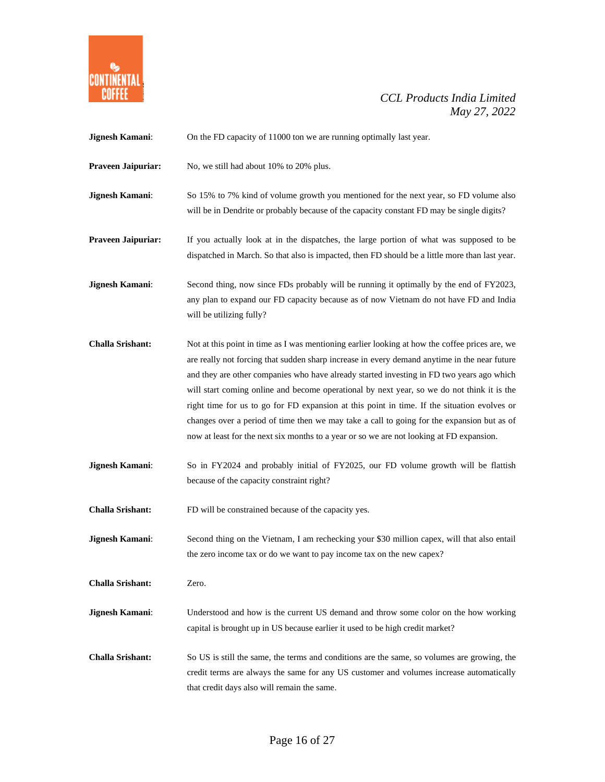

| Jignesh Kamani:           | On the FD capacity of 11000 ton we are running optimally last year.                                                                                                                                                                                                                                                                                                                                                                                                                                                                                                                                                                                                                |
|---------------------------|------------------------------------------------------------------------------------------------------------------------------------------------------------------------------------------------------------------------------------------------------------------------------------------------------------------------------------------------------------------------------------------------------------------------------------------------------------------------------------------------------------------------------------------------------------------------------------------------------------------------------------------------------------------------------------|
| <b>Praveen Jaipuriar:</b> | No, we still had about 10% to 20% plus.                                                                                                                                                                                                                                                                                                                                                                                                                                                                                                                                                                                                                                            |
| Jignesh Kamani:           | So 15% to 7% kind of volume growth you mentioned for the next year, so FD volume also<br>will be in Dendrite or probably because of the capacity constant FD may be single digits?                                                                                                                                                                                                                                                                                                                                                                                                                                                                                                 |
| Praveen Jaipuriar:        | If you actually look at in the dispatches, the large portion of what was supposed to be<br>dispatched in March. So that also is impacted, then FD should be a little more than last year.                                                                                                                                                                                                                                                                                                                                                                                                                                                                                          |
| Jignesh Kamani:           | Second thing, now since FDs probably will be running it optimally by the end of FY2023,<br>any plan to expand our FD capacity because as of now Vietnam do not have FD and India<br>will be utilizing fully?                                                                                                                                                                                                                                                                                                                                                                                                                                                                       |
| <b>Challa Srishant:</b>   | Not at this point in time as I was mentioning earlier looking at how the coffee prices are, we<br>are really not forcing that sudden sharp increase in every demand anytime in the near future<br>and they are other companies who have already started investing in FD two years ago which<br>will start coming online and become operational by next year, so we do not think it is the<br>right time for us to go for FD expansion at this point in time. If the situation evolves or<br>changes over a period of time then we may take a call to going for the expansion but as of<br>now at least for the next six months to a year or so we are not looking at FD expansion. |
| Jignesh Kamani:           | So in FY2024 and probably initial of FY2025, our FD volume growth will be flattish<br>because of the capacity constraint right?                                                                                                                                                                                                                                                                                                                                                                                                                                                                                                                                                    |
| <b>Challa Srishant:</b>   | FD will be constrained because of the capacity yes.                                                                                                                                                                                                                                                                                                                                                                                                                                                                                                                                                                                                                                |
| Jignesh Kamani:           | Second thing on the Vietnam, I am rechecking your \$30 million capex, will that also entail<br>the zero income tax or do we want to pay income tax on the new capex?                                                                                                                                                                                                                                                                                                                                                                                                                                                                                                               |
| <b>Challa Srishant:</b>   | Zero.                                                                                                                                                                                                                                                                                                                                                                                                                                                                                                                                                                                                                                                                              |
| Jignesh Kamani:           | Understood and how is the current US demand and throw some color on the how working<br>capital is brought up in US because earlier it used to be high credit market?                                                                                                                                                                                                                                                                                                                                                                                                                                                                                                               |
| <b>Challa Srishant:</b>   | So US is still the same, the terms and conditions are the same, so volumes are growing, the<br>credit terms are always the same for any US customer and volumes increase automatically<br>that credit days also will remain the same.                                                                                                                                                                                                                                                                                                                                                                                                                                              |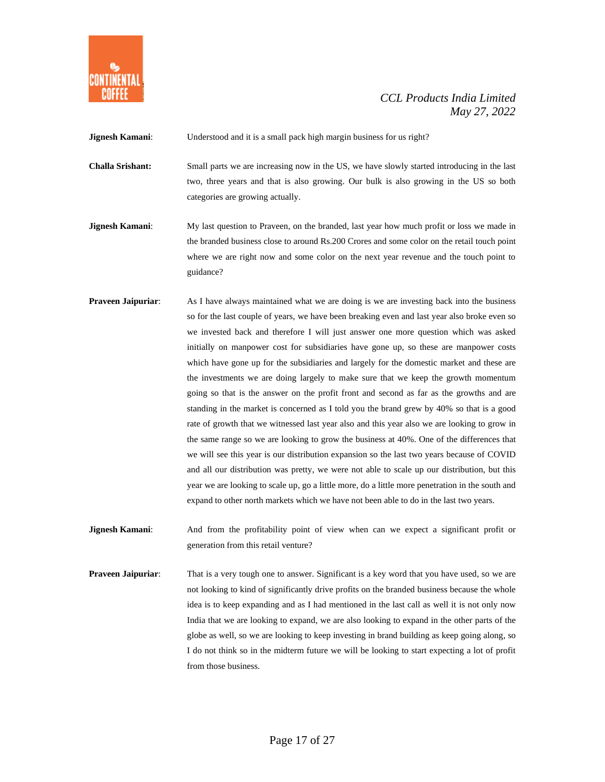

**Jignesh Kamani:** Understood and it is a small pack high margin business for us right?

- **Challa Srishant:** Small parts we are increasing now in the US, we have slowly started introducing in the last two, three years and that is also growing. Our bulk is also growing in the US so both categories are growing actually.
- **Jignesh Kamani:** My last question to Praveen, on the branded, last year how much profit or loss we made in the branded business close to around Rs.200 Crores and some color on the retail touch point where we are right now and some color on the next year revenue and the touch point to guidance?
- **Praveen Jaipuriar:** As I have always maintained what we are doing is we are investing back into the business so for the last couple of years, we have been breaking even and last year also broke even so we invested back and therefore I will just answer one more question which was asked initially on manpower cost for subsidiaries have gone up, so these are manpower costs which have gone up for the subsidiaries and largely for the domestic market and these are the investments we are doing largely to make sure that we keep the growth momentum going so that is the answer on the profit front and second as far as the growths and are standing in the market is concerned as I told you the brand grew by 40% so that is a good rate of growth that we witnessed last year also and this year also we are looking to grow in the same range so we are looking to grow the business at 40%. One of the differences that we will see this year is our distribution expansion so the last two years because of COVID and all our distribution was pretty, we were not able to scale up our distribution, but this year we are looking to scale up, go a little more, do a little more penetration in the south and expand to other north markets which we have not been able to do in the last two years.
- **Jignesh Kamani:** And from the profitability point of view when can we expect a significant profit or generation from this retail venture?
- **Praveen Jaipuriar:** That is a very tough one to answer. Significant is a key word that you have used, so we are not looking to kind of significantly drive profits on the branded business because the whole idea is to keep expanding and as I had mentioned in the last call as well it is not only now India that we are looking to expand, we are also looking to expand in the other parts of the globe as well, so we are looking to keep investing in brand building as keep going along, so I do not think so in the midterm future we will be looking to start expecting a lot of profit from those business.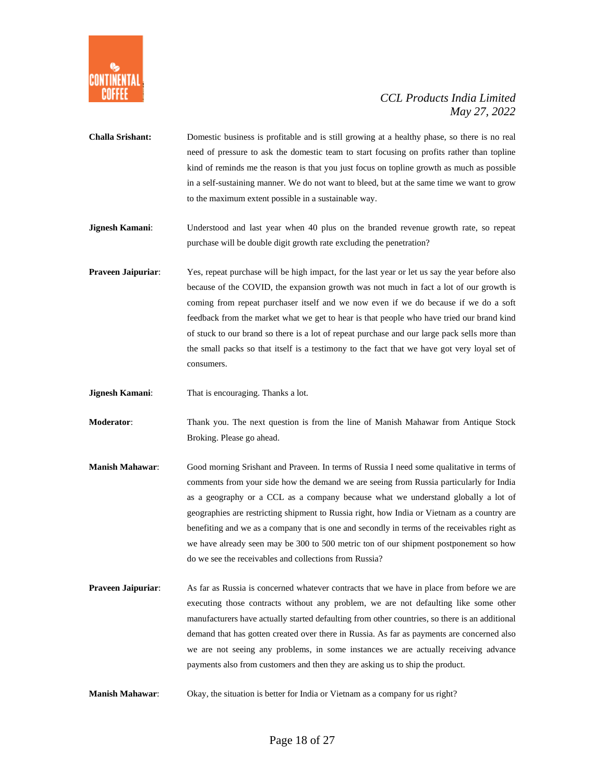

- **Challa Srishant:** Domestic business is profitable and is still growing at a healthy phase, so there is no real need of pressure to ask the domestic team to start focusing on profits rather than topline kind of reminds me the reason is that you just focus on topline growth as much as possible in a self-sustaining manner. We do not want to bleed, but at the same time we want to grow to the maximum extent possible in a sustainable way.
- **Jignesh Kamani**: Understood and last year when 40 plus on the branded revenue growth rate, so repeat purchase will be double digit growth rate excluding the penetration?
- **Praveen Jaipuriar**: Yes, repeat purchase will be high impact, for the last year or let us say the year before also because of the COVID, the expansion growth was not much in fact a lot of our growth is coming from repeat purchaser itself and we now even if we do because if we do a soft feedback from the market what we get to hear is that people who have tried our brand kind of stuck to our brand so there is a lot of repeat purchase and our large pack sells more than the small packs so that itself is a testimony to the fact that we have got very loyal set of consumers.
- **Jignesh Kamani:** That is encouraging. Thanks a lot.
- **Moderator**: Thank you. The next question is from the line of Manish Mahawar from Antique Stock Broking. Please go ahead.
- **Manish Mahawar**: Good morning Srishant and Praveen. In terms of Russia I need some qualitative in terms of comments from your side how the demand we are seeing from Russia particularly for India as a geography or a CCL as a company because what we understand globally a lot of geographies are restricting shipment to Russia right, how India or Vietnam as a country are benefiting and we as a company that is one and secondly in terms of the receivables right as we have already seen may be 300 to 500 metric ton of our shipment postponement so how do we see the receivables and collections from Russia?
- **Praveen Jaipuriar:** As far as Russia is concerned whatever contracts that we have in place from before we are executing those contracts without any problem, we are not defaulting like some other manufacturers have actually started defaulting from other countries, so there is an additional demand that has gotten created over there in Russia. As far as payments are concerned also we are not seeing any problems, in some instances we are actually receiving advance payments also from customers and then they are asking us to ship the product.
- **Manish Mahawar**: Okay, the situation is better for India or Vietnam as a company for us right?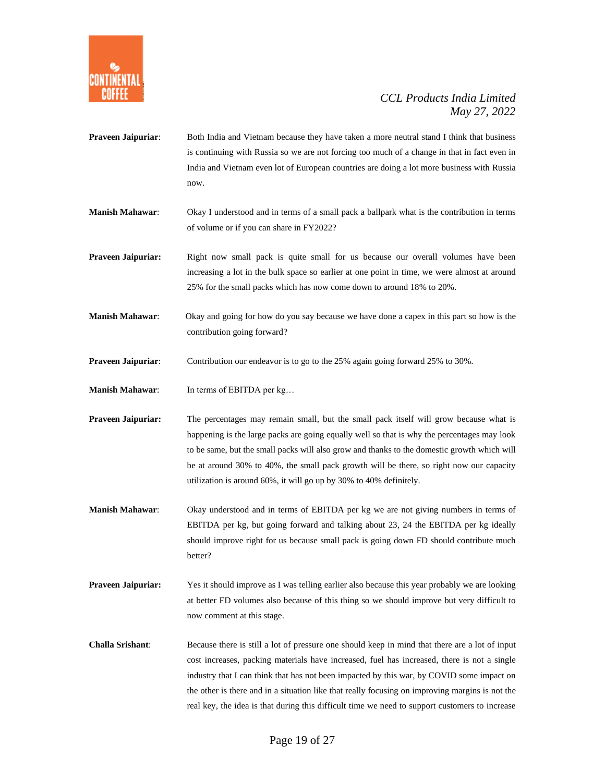

- **Praveen Jaipuriar:** Both India and Vietnam because they have taken a more neutral stand I think that business is continuing with Russia so we are not forcing too much of a change in that in fact even in India and Vietnam even lot of European countries are doing a lot more business with Russia now.
- **Manish Mahawar**: Okay I understood and in terms of a small pack a ballpark what is the contribution in terms of volume or if you can share in FY2022?
- **Praveen Jaipuriar:** Right now small pack is quite small for us because our overall volumes have been increasing a lot in the bulk space so earlier at one point in time, we were almost at around 25% for the small packs which has now come down to around 18% to 20%.
- **Manish Mahawar**: Okay and going for how do you say because we have done a capex in this part so how is the contribution going forward?
- **Praveen Jaipuriar:** Contribution our endeavor is to go to the 25% again going forward 25% to 30%.
- **Manish Mahawar:** In terms of EBITDA per kg...
- **Praveen Jaipuriar:** The percentages may remain small, but the small pack itself will grow because what is happening is the large packs are going equally well so that is why the percentages may look to be same, but the small packs will also grow and thanks to the domestic growth which will be at around 30% to 40%, the small pack growth will be there, so right now our capacity utilization is around 60%, it will go up by 30% to 40% definitely.
- **Manish Mahawar**: Okay understood and in terms of EBITDA per kg we are not giving numbers in terms of EBITDA per kg, but going forward and talking about 23, 24 the EBITDA per kg ideally should improve right for us because small pack is going down FD should contribute much better?
- **Praveen Jaipuriar:** Yes it should improve as I was telling earlier also because this year probably we are looking at better FD volumes also because of this thing so we should improve but very difficult to now comment at this stage.
- **Challa Srishant**: Because there is still a lot of pressure one should keep in mind that there are a lot of input cost increases, packing materials have increased, fuel has increased, there is not a single industry that I can think that has not been impacted by this war, by COVID some impact on the other is there and in a situation like that really focusing on improving margins is not the real key, the idea is that during this difficult time we need to support customers to increase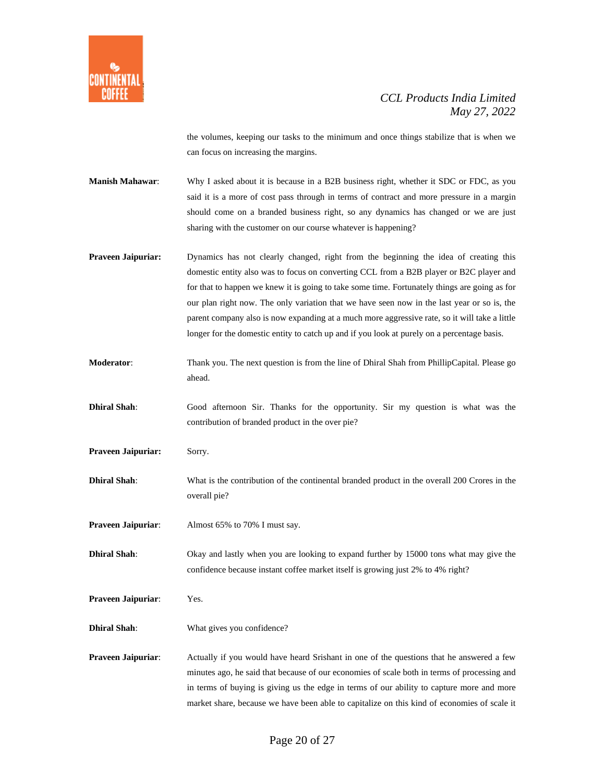

the volumes, keeping our tasks to the minimum and once things stabilize that is when we can focus on increasing the margins.

**Manish Mahawar**: Why I asked about it is because in a B2B business right, whether it SDC or FDC, as you said it is a more of cost pass through in terms of contract and more pressure in a margin should come on a branded business right, so any dynamics has changed or we are just sharing with the customer on our course whatever is happening?

**Praveen Jaipuriar:** Dynamics has not clearly changed, right from the beginning the idea of creating this domestic entity also was to focus on converting CCL from a B2B player or B2C player and for that to happen we knew it is going to take some time. Fortunately things are going as for our plan right now. The only variation that we have seen now in the last year or so is, the parent company also is now expanding at a much more aggressive rate, so it will take a little longer for the domestic entity to catch up and if you look at purely on a percentage basis.

- **Moderator**: Thank you. The next question is from the line of Dhiral Shah from PhillipCapital. Please go ahead.
- **Dhiral Shah**: Good afternoon Sir. Thanks for the opportunity. Sir my question is what was the contribution of branded product in the over pie?
- Praveen Jaipuriar: Sorry.
- **Dhiral Shah**: What is the contribution of the continental branded product in the overall 200 Crores in the overall pie?
- **Praveen Jaipuriar:** Almost 65% to 70% I must say.

**Dhiral Shah**: Okay and lastly when you are looking to expand further by 15000 tons what may give the confidence because instant coffee market itself is growing just 2% to 4% right?

**Praveen Jaipuriar**: Yes.

**Dhiral Shah**: What gives you confidence?

**Praveen Jaipuriar:** Actually if you would have heard Srishant in one of the questions that he answered a few minutes ago, he said that because of our economies of scale both in terms of processing and in terms of buying is giving us the edge in terms of our ability to capture more and more market share, because we have been able to capitalize on this kind of economies of scale it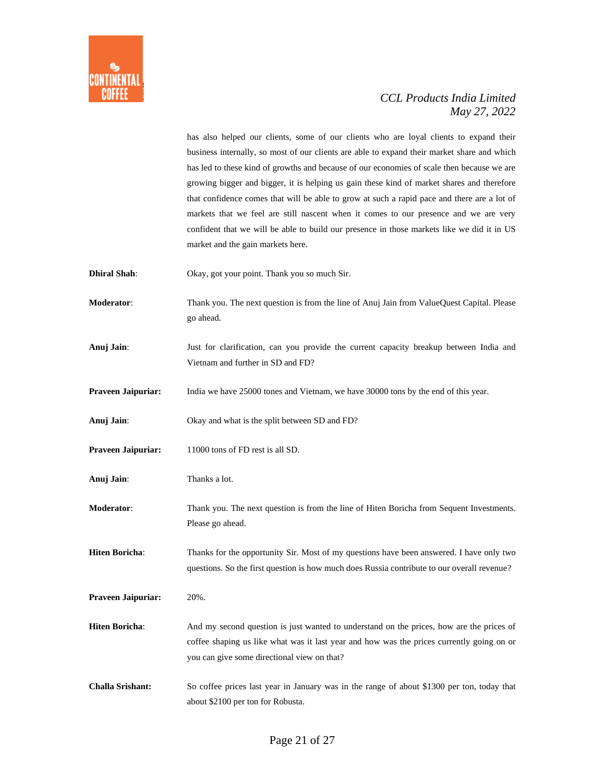

has also helped our clients, some of our clients who are loyal clients to expand their business internally, so most of our clients are able to expand their market share and which has led to these kind of growths and because of our economies of scale then because we are growing bigger and bigger, it is helping us gain these kind of market shares and therefore that confidence comes that will be able to grow at such a rapid pace and there are a lot of markets that we feel are still nascent when it comes to our presence and we are very confident that we will be able to build our presence in those markets like we did it in US market and the gain markets here.

- **Dhiral Shah**: Okay, got your point. Thank you so much Sir.
- **Moderator**: Thank you. The next question is from the line of Anuj Jain from ValueQuest Capital. Please go ahead.
- **Anuj Jain**: Just for clarification, can you provide the current capacity breakup between India and Vietnam and further in SD and FD?
- **Praveen Jaipuriar:** India we have 25000 tones and Vietnam, we have 30000 tons by the end of this year.
- **Anuj Jain**: Okay and what is the split between SD and FD?
- Praveen Jaipuriar: 11000 tons of FD rest is all SD.
- **Anuj Jain**: Thanks a lot.
- **Moderator**: Thank you. The next question is from the line of Hiten Boricha from Sequent Investments. Please go ahead.
- **Hiten Boricha**: Thanks for the opportunity Sir. Most of my questions have been answered. I have only two questions. So the first question is how much does Russia contribute to our overall revenue?
- **Praveen Jaipuriar:** 20%.
- **Hiten Boricha:** And my second question is just wanted to understand on the prices, how are the prices of coffee shaping us like what was it last year and how was the prices currently going on or you can give some directional view on that?
- **Challa Srishant:** So coffee prices last year in January was in the range of about \$1300 per ton, today that about \$2100 per ton for Robusta.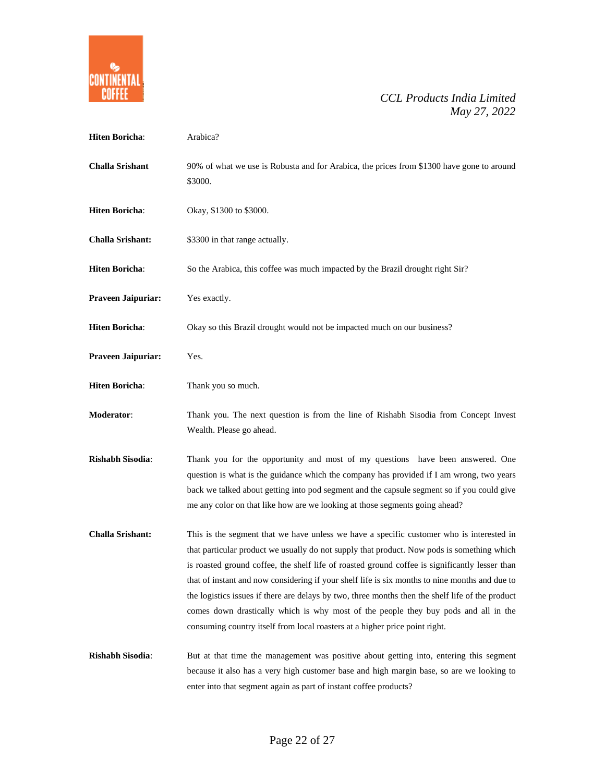

| <b>Hiten Boricha:</b>   | Arabica?                                                                                                                                                                                                                                                                                                                                                                                                                                                                                                                                                                                                                                                             |
|-------------------------|----------------------------------------------------------------------------------------------------------------------------------------------------------------------------------------------------------------------------------------------------------------------------------------------------------------------------------------------------------------------------------------------------------------------------------------------------------------------------------------------------------------------------------------------------------------------------------------------------------------------------------------------------------------------|
| <b>Challa Srishant</b>  | 90% of what we use is Robusta and for Arabica, the prices from \$1300 have gone to around<br>\$3000.                                                                                                                                                                                                                                                                                                                                                                                                                                                                                                                                                                 |
| <b>Hiten Boricha:</b>   | Okay, \$1300 to \$3000.                                                                                                                                                                                                                                                                                                                                                                                                                                                                                                                                                                                                                                              |
| <b>Challa Srishant:</b> | \$3300 in that range actually.                                                                                                                                                                                                                                                                                                                                                                                                                                                                                                                                                                                                                                       |
| <b>Hiten Boricha:</b>   | So the Arabica, this coffee was much impacted by the Brazil drought right Sir?                                                                                                                                                                                                                                                                                                                                                                                                                                                                                                                                                                                       |
| Praveen Jaipuriar:      | Yes exactly.                                                                                                                                                                                                                                                                                                                                                                                                                                                                                                                                                                                                                                                         |
| <b>Hiten Boricha:</b>   | Okay so this Brazil drought would not be impacted much on our business?                                                                                                                                                                                                                                                                                                                                                                                                                                                                                                                                                                                              |
| Praveen Jaipuriar:      | Yes.                                                                                                                                                                                                                                                                                                                                                                                                                                                                                                                                                                                                                                                                 |
| <b>Hiten Boricha:</b>   | Thank you so much.                                                                                                                                                                                                                                                                                                                                                                                                                                                                                                                                                                                                                                                   |
| Moderator:              | Thank you. The next question is from the line of Rishabh Sisodia from Concept Invest<br>Wealth. Please go ahead.                                                                                                                                                                                                                                                                                                                                                                                                                                                                                                                                                     |
| <b>Rishabh Sisodia:</b> | Thank you for the opportunity and most of my questions have been answered. One<br>question is what is the guidance which the company has provided if I am wrong, two years<br>back we talked about getting into pod segment and the capsule segment so if you could give<br>me any color on that like how are we looking at those segments going ahead?                                                                                                                                                                                                                                                                                                              |
| <b>Challa Srishant:</b> | This is the segment that we have unless we have a specific customer who is interested in<br>that particular product we usually do not supply that product. Now pods is something which<br>is roasted ground coffee, the shelf life of roasted ground coffee is significantly lesser than<br>that of instant and now considering if your shelf life is six months to nine months and due to<br>the logistics issues if there are delays by two, three months then the shelf life of the product<br>comes down drastically which is why most of the people they buy pods and all in the<br>consuming country itself from local roasters at a higher price point right. |
| Rishabh Sisodia:        | But at that time the management was positive about getting into, entering this segment<br>because it also has a very high customer base and high margin base, so are we looking to<br>enter into that segment again as part of instant coffee products?                                                                                                                                                                                                                                                                                                                                                                                                              |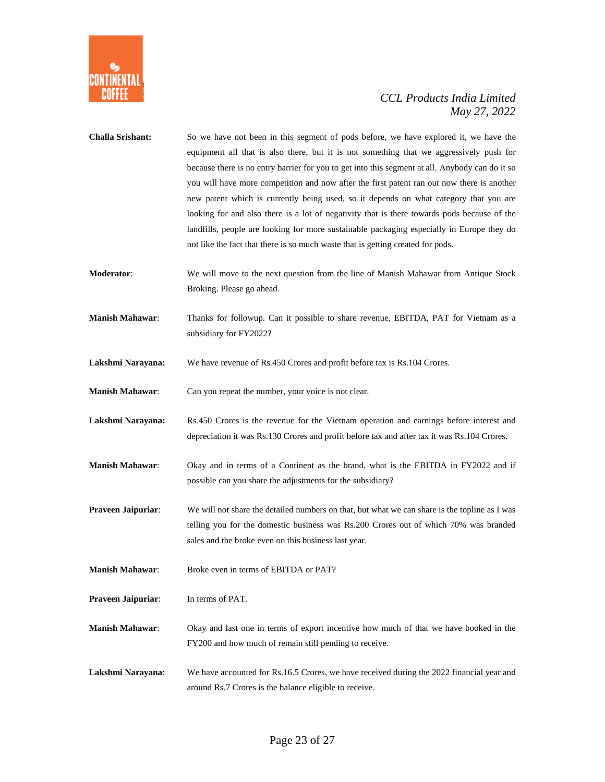

| <b>Challa Srishant:</b> | So we have not been in this segment of pods before, we have explored it, we have the<br>equipment all that is also there, but it is not something that we aggressively push for<br>because there is no entry barrier for you to get into this segment at all. Anybody can do it so<br>you will have more competition and now after the first patent ran out now there is another<br>new patent which is currently being used, so it depends on what category that you are<br>looking for and also there is a lot of negativity that is there towards pods because of the<br>landfills, people are looking for more sustainable packaging especially in Europe they do<br>not like the fact that there is so much waste that is getting created for pods. |
|-------------------------|----------------------------------------------------------------------------------------------------------------------------------------------------------------------------------------------------------------------------------------------------------------------------------------------------------------------------------------------------------------------------------------------------------------------------------------------------------------------------------------------------------------------------------------------------------------------------------------------------------------------------------------------------------------------------------------------------------------------------------------------------------|
| Moderator:              | We will move to the next question from the line of Manish Mahawar from Antique Stock<br>Broking. Please go ahead.                                                                                                                                                                                                                                                                                                                                                                                                                                                                                                                                                                                                                                        |
| <b>Manish Mahawar:</b>  | Thanks for followup. Can it possible to share revenue, EBITDA, PAT for Vietnam as a<br>subsidiary for FY2022?                                                                                                                                                                                                                                                                                                                                                                                                                                                                                                                                                                                                                                            |
| Lakshmi Narayana:       | We have revenue of Rs.450 Crores and profit before tax is Rs.104 Crores.                                                                                                                                                                                                                                                                                                                                                                                                                                                                                                                                                                                                                                                                                 |
| <b>Manish Mahawar:</b>  | Can you repeat the number, your voice is not clear.                                                                                                                                                                                                                                                                                                                                                                                                                                                                                                                                                                                                                                                                                                      |
| Lakshmi Narayana:       | Rs.450 Crores is the revenue for the Vietnam operation and earnings before interest and<br>depreciation it was Rs.130 Crores and profit before tax and after tax it was Rs.104 Crores.                                                                                                                                                                                                                                                                                                                                                                                                                                                                                                                                                                   |
| <b>Manish Mahawar:</b>  | Okay and in terms of a Continent as the brand, what is the EBITDA in FY2022 and if<br>possible can you share the adjustments for the subsidiary?                                                                                                                                                                                                                                                                                                                                                                                                                                                                                                                                                                                                         |
| Praveen Jaipuriar:      | We will not share the detailed numbers on that, but what we can share is the topline as I was<br>telling you for the domestic business was Rs.200 Crores out of which 70% was branded<br>sales and the broke even on this business last year.                                                                                                                                                                                                                                                                                                                                                                                                                                                                                                            |
| <b>Manish Mahawar:</b>  | Broke even in terms of EBITDA or PAT?                                                                                                                                                                                                                                                                                                                                                                                                                                                                                                                                                                                                                                                                                                                    |
| Praveen Jaipuriar:      | In terms of PAT.                                                                                                                                                                                                                                                                                                                                                                                                                                                                                                                                                                                                                                                                                                                                         |
| <b>Manish Mahawar:</b>  | Okay and last one in terms of export incentive how much of that we have booked in the<br>FY200 and how much of remain still pending to receive.                                                                                                                                                                                                                                                                                                                                                                                                                                                                                                                                                                                                          |
| Lakshmi Narayana:       | We have accounted for Rs.16.5 Crores, we have received during the 2022 financial year and<br>around Rs.7 Crores is the balance eligible to receive.                                                                                                                                                                                                                                                                                                                                                                                                                                                                                                                                                                                                      |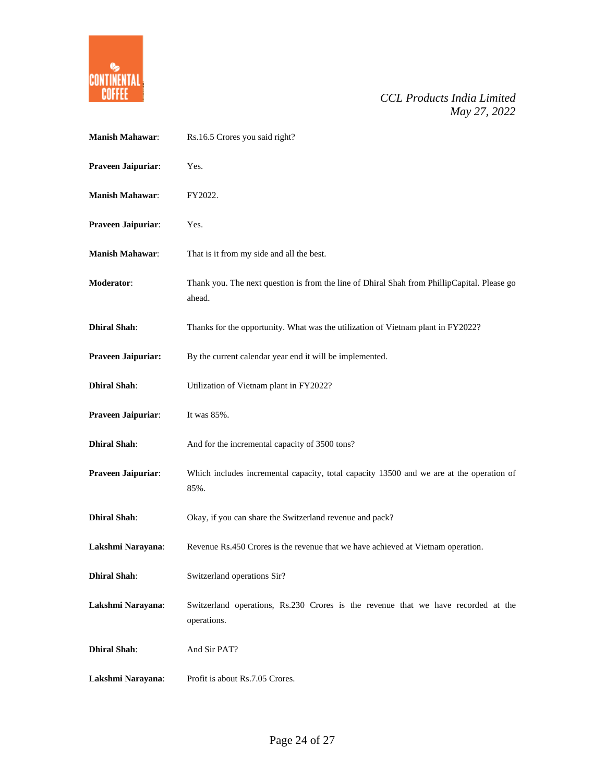

| <b>Manish Mahawar:</b> | Rs.16.5 Crores you said right?                                                                        |
|------------------------|-------------------------------------------------------------------------------------------------------|
| Praveen Jaipuriar:     | Yes.                                                                                                  |
| <b>Manish Mahawar:</b> | FY2022.                                                                                               |
| Praveen Jaipuriar:     | Yes.                                                                                                  |
| <b>Manish Mahawar:</b> | That is it from my side and all the best.                                                             |
| Moderator:             | Thank you. The next question is from the line of Dhiral Shah from PhillipCapital. Please go<br>ahead. |
| <b>Dhiral Shah:</b>    | Thanks for the opportunity. What was the utilization of Vietnam plant in FY2022?                      |
| Praveen Jaipuriar:     | By the current calendar year end it will be implemented.                                              |
| <b>Dhiral Shah:</b>    | Utilization of Vietnam plant in FY2022?                                                               |
| Praveen Jaipuriar:     | It was 85%.                                                                                           |
| <b>Dhiral Shah:</b>    | And for the incremental capacity of 3500 tons?                                                        |
| Praveen Jaipuriar:     | Which includes incremental capacity, total capacity 13500 and we are at the operation of<br>85%.      |
| <b>Dhiral Shah:</b>    | Okay, if you can share the Switzerland revenue and pack?                                              |
| Lakshmi Narayana:      | Revenue Rs.450 Crores is the revenue that we have achieved at Vietnam operation.                      |
| <b>Dhiral Shah:</b>    | Switzerland operations Sir?                                                                           |
| Lakshmi Narayana:      | Switzerland operations, Rs.230 Crores is the revenue that we have recorded at the<br>operations.      |
| <b>Dhiral Shah:</b>    | And Sir PAT?                                                                                          |
| Lakshmi Narayana:      | Profit is about Rs.7.05 Crores.                                                                       |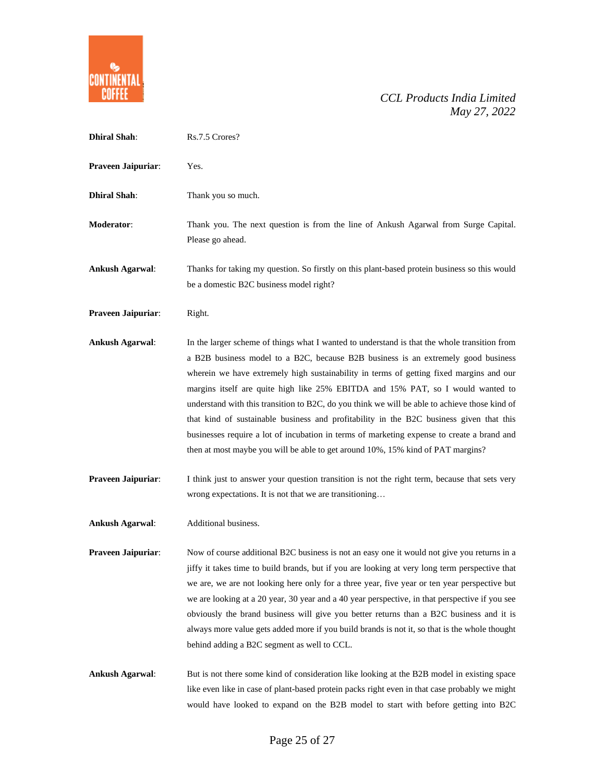

| <b>Dhiral Shah:</b>    | Rs.7.5 Crores?                                                                                                                                                                                                                                                                                                                                                                                                                                                                                                                                                                                                                                                                                                                               |
|------------------------|----------------------------------------------------------------------------------------------------------------------------------------------------------------------------------------------------------------------------------------------------------------------------------------------------------------------------------------------------------------------------------------------------------------------------------------------------------------------------------------------------------------------------------------------------------------------------------------------------------------------------------------------------------------------------------------------------------------------------------------------|
| Praveen Jaipuriar:     | Yes.                                                                                                                                                                                                                                                                                                                                                                                                                                                                                                                                                                                                                                                                                                                                         |
| <b>Dhiral Shah:</b>    | Thank you so much.                                                                                                                                                                                                                                                                                                                                                                                                                                                                                                                                                                                                                                                                                                                           |
| Moderator:             | Thank you. The next question is from the line of Ankush Agarwal from Surge Capital.<br>Please go ahead.                                                                                                                                                                                                                                                                                                                                                                                                                                                                                                                                                                                                                                      |
| <b>Ankush Agarwal:</b> | Thanks for taking my question. So firstly on this plant-based protein business so this would<br>be a domestic B2C business model right?                                                                                                                                                                                                                                                                                                                                                                                                                                                                                                                                                                                                      |
| Praveen Jaipuriar:     | Right.                                                                                                                                                                                                                                                                                                                                                                                                                                                                                                                                                                                                                                                                                                                                       |
| <b>Ankush Agarwal:</b> | In the larger scheme of things what I wanted to understand is that the whole transition from<br>a B2B business model to a B2C, because B2B business is an extremely good business<br>wherein we have extremely high sustainability in terms of getting fixed margins and our<br>margins itself are quite high like 25% EBITDA and 15% PAT, so I would wanted to<br>understand with this transition to B2C, do you think we will be able to achieve those kind of<br>that kind of sustainable business and profitability in the B2C business given that this<br>businesses require a lot of incubation in terms of marketing expense to create a brand and<br>then at most maybe you will be able to get around 10%, 15% kind of PAT margins? |
| Praveen Jaipuriar:     | I think just to answer your question transition is not the right term, because that sets very<br>wrong expectations. It is not that we are transitioning                                                                                                                                                                                                                                                                                                                                                                                                                                                                                                                                                                                     |
| <b>Ankush Agarwal:</b> | Additional business.                                                                                                                                                                                                                                                                                                                                                                                                                                                                                                                                                                                                                                                                                                                         |
| Praveen Jaipuriar:     | Now of course additional B2C business is not an easy one it would not give you returns in a<br>jiffy it takes time to build brands, but if you are looking at very long term perspective that<br>we are, we are not looking here only for a three year, five year or ten year perspective but<br>we are looking at a 20 year, 30 year and a 40 year perspective, in that perspective if you see<br>obviously the brand business will give you better returns than a B2C business and it is<br>always more value gets added more if you build brands is not it, so that is the whole thought<br>behind adding a B2C segment as well to CCL.                                                                                                   |
| <b>Ankush Agarwal:</b> | But is not there some kind of consideration like looking at the B2B model in existing space<br>like even like in case of plant-based protein packs right even in that case probably we might<br>would have looked to expand on the B2B model to start with before getting into B2C                                                                                                                                                                                                                                                                                                                                                                                                                                                           |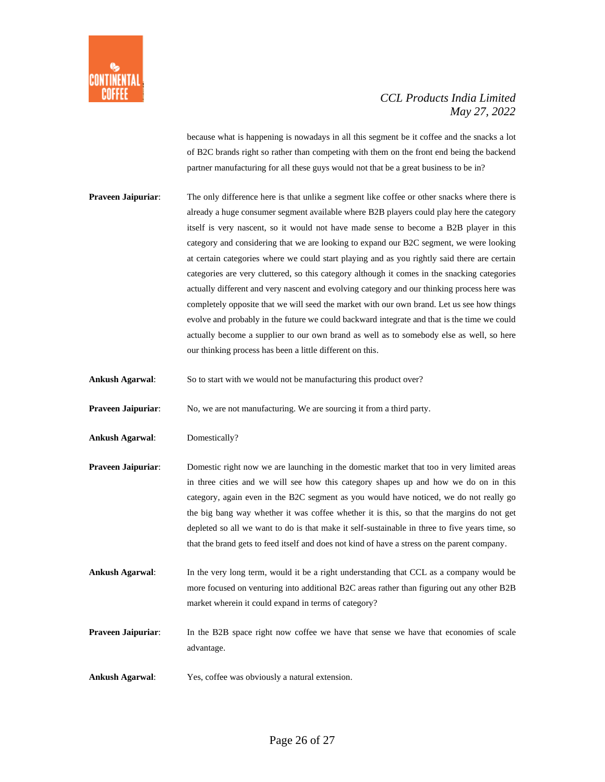

because what is happening is nowadays in all this segment be it coffee and the snacks a lot of B2C brands right so rather than competing with them on the front end being the backend partner manufacturing for all these guys would not that be a great business to be in?

- **Praveen Jaipuriar:** The only difference here is that unlike a segment like coffee or other snacks where there is already a huge consumer segment available where B2B players could play here the category itself is very nascent, so it would not have made sense to become a B2B player in this category and considering that we are looking to expand our B2C segment, we were looking at certain categories where we could start playing and as you rightly said there are certain categories are very cluttered, so this category although it comes in the snacking categories actually different and very nascent and evolving category and our thinking process here was completely opposite that we will seed the market with our own brand. Let us see how things evolve and probably in the future we could backward integrate and that is the time we could actually become a supplier to our own brand as well as to somebody else as well, so here our thinking process has been a little different on this.
- **Ankush Agarwal**: So to start with we would not be manufacturing this product over?

**Praveen Jaipuriar:** No, we are not manufacturing. We are sourcing it from a third party.

- **Ankush Agarwal**: Domestically?
- **Praveen Jaipuriar:** Domestic right now we are launching in the domestic market that too in very limited areas in three cities and we will see how this category shapes up and how we do on in this category, again even in the B2C segment as you would have noticed, we do not really go the big bang way whether it was coffee whether it is this, so that the margins do not get depleted so all we want to do is that make it self-sustainable in three to five years time, so that the brand gets to feed itself and does not kind of have a stress on the parent company.
- **Ankush Agarwal**: In the very long term, would it be a right understanding that CCL as a company would be more focused on venturing into additional B2C areas rather than figuring out any other B2B market wherein it could expand in terms of category?
- **Praveen Jaipuriar:** In the B2B space right now coffee we have that sense we have that economies of scale advantage.
- **Ankush Agarwal**: Yes, coffee was obviously a natural extension.